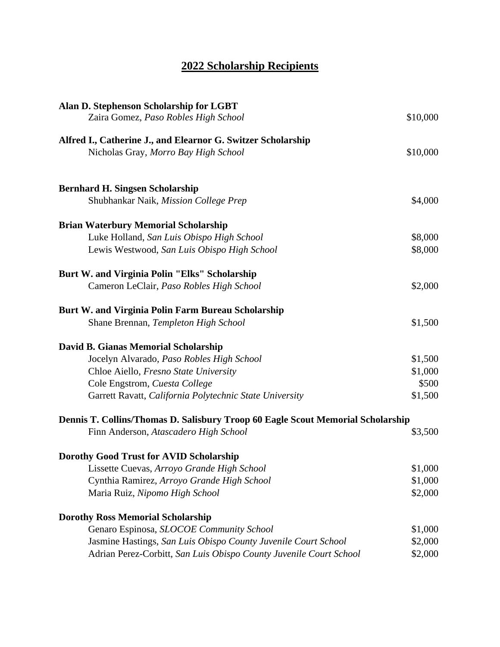## **2022 Scholarship Recipients**

| Alan D. Stephenson Scholarship for LGBT                                         |          |
|---------------------------------------------------------------------------------|----------|
| Zaira Gomez, Paso Robles High School                                            | \$10,000 |
| Alfred I., Catherine J., and Elearnor G. Switzer Scholarship                    |          |
| Nicholas Gray, Morro Bay High School                                            | \$10,000 |
| <b>Bernhard H. Singsen Scholarship</b>                                          |          |
| Shubhankar Naik, Mission College Prep                                           | \$4,000  |
| <b>Brian Waterbury Memorial Scholarship</b>                                     |          |
| Luke Holland, San Luis Obispo High School                                       | \$8,000  |
| Lewis Westwood, San Luis Obispo High School                                     | \$8,000  |
| <b>Burt W. and Virginia Polin "Elks" Scholarship</b>                            |          |
| Cameron LeClair, Paso Robles High School                                        | \$2,000  |
| <b>Burt W. and Virginia Polin Farm Bureau Scholarship</b>                       |          |
| Shane Brennan, Templeton High School                                            | \$1,500  |
| David B. Gianas Memorial Scholarship                                            |          |
| Jocelyn Alvarado, Paso Robles High School                                       | \$1,500  |
| Chloe Aiello, Fresno State University                                           | \$1,000  |
| Cole Engstrom, Cuesta College                                                   | \$500    |
| Garrett Ravatt, California Polytechnic State University                         | \$1,500  |
| Dennis T. Collins/Thomas D. Salisbury Troop 60 Eagle Scout Memorial Scholarship |          |
| Finn Anderson, Atascadero High School                                           | \$3,500  |
| <b>Dorothy Good Trust for AVID Scholarship</b>                                  |          |
| Lissette Cuevas, Arroyo Grande High School                                      | \$1,000  |
| Cynthia Ramirez, Arroyo Grande High School                                      | \$1,000  |
| Maria Ruiz, Nipomo High School                                                  | \$2,000  |
| <b>Dorothy Ross Memorial Scholarship</b>                                        |          |
| Genaro Espinosa, SLOCOE Community School                                        | \$1,000  |
| Jasmine Hastings, San Luis Obispo County Juvenile Court School                  | \$2,000  |
| Adrian Perez-Corbitt, San Luis Obispo County Juvenile Court School              | \$2,000  |
|                                                                                 |          |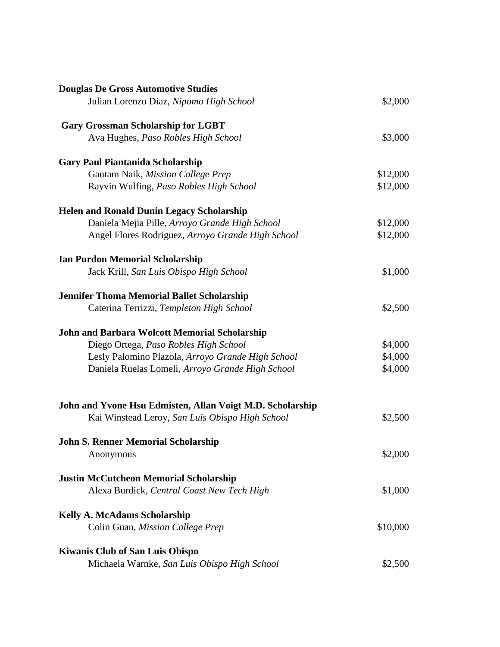| <b>Douglas De Gross Automotive Studies</b>                |          |
|-----------------------------------------------------------|----------|
| Julian Lorenzo Diaz, Nipomo High School                   | \$2,000  |
| <b>Gary Grossman Scholarship for LGBT</b>                 |          |
| Ava Hughes, Paso Robles High School                       | \$3,000  |
| <b>Gary Paul Piantanida Scholarship</b>                   |          |
| Gautam Naik, Mission College Prep                         | \$12,000 |
| Rayvin Wulfing, Paso Robles High School                   | \$12,000 |
| <b>Helen and Ronald Dunin Legacy Scholarship</b>          |          |
| Daniela Mejia Pille, Arroyo Grande High School            | \$12,000 |
| Angel Flores Rodriguez, Arroyo Grande High School         | \$12,000 |
| <b>Ian Purdon Memorial Scholarship</b>                    |          |
| Jack Krill, San Luis Obispo High School                   | \$1,000  |
| <b>Jennifer Thoma Memorial Ballet Scholarship</b>         |          |
| Caterina Terrizzi, Templeton High School                  | \$2,500  |
| <b>John and Barbara Wolcott Memorial Scholarship</b>      |          |
| Diego Ortega, Paso Robles High School                     | \$4,000  |
| Lesly Palomino Plazola, Arroyo Grande High School         | \$4,000  |
| Daniela Ruelas Lomeli, Arroyo Grande High School          | \$4,000  |
| John and Yvone Hsu Edmisten, Allan Voigt M.D. Scholarship |          |
| Kai Winstead Leroy, San Luis Obispo High School           | \$2,500  |
| <b>John S. Renner Memorial Scholarship</b>                |          |
| Anonymous                                                 | \$2,000  |
| <b>Justin McCutcheon Memorial Scholarship</b>             |          |
| Alexa Burdick, Central Coast New Tech High                | \$1,000  |
| <b>Kelly A. McAdams Scholarship</b>                       |          |
| Colin Guan, Mission College Prep                          | \$10,000 |
| <b>Kiwanis Club of San Luis Obispo</b>                    |          |
| Michaela Warnke, San Luis Obispo High School              | \$2,500  |
|                                                           |          |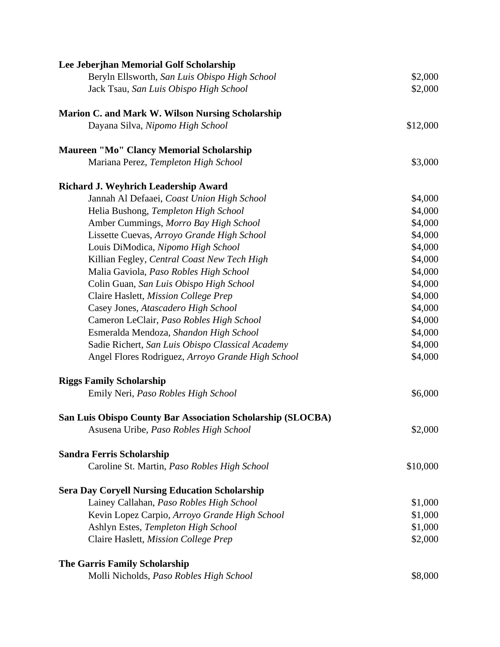| Lee Jeberjhan Memorial Golf Scholarship                     |          |
|-------------------------------------------------------------|----------|
| Beryln Ellsworth, San Luis Obispo High School               | \$2,000  |
| Jack Tsau, San Luis Obispo High School                      | \$2,000  |
| <b>Marion C. and Mark W. Wilson Nursing Scholarship</b>     |          |
| Dayana Silva, Nipomo High School                            | \$12,000 |
| <b>Maureen "Mo" Clancy Memorial Scholarship</b>             |          |
| Mariana Perez, Templeton High School                        | \$3,000  |
| <b>Richard J. Weyhrich Leadership Award</b>                 |          |
| Jannah Al Defaaei, Coast Union High School                  | \$4,000  |
| Helia Bushong, Templeton High School                        | \$4,000  |
| Amber Cummings, Morro Bay High School                       | \$4,000  |
| Lissette Cuevas, Arroyo Grande High School                  | \$4,000  |
| Louis DiModica, Nipomo High School                          | \$4,000  |
| Killian Fegley, Central Coast New Tech High                 | \$4,000  |
| Malia Gaviola, Paso Robles High School                      | \$4,000  |
| Colin Guan, San Luis Obispo High School                     | \$4,000  |
| Claire Haslett, Mission College Prep                        | \$4,000  |
| Casey Jones, Atascadero High School                         | \$4,000  |
| Cameron LeClair, Paso Robles High School                    | \$4,000  |
| Esmeralda Mendoza, Shandon High School                      | \$4,000  |
| Sadie Richert, San Luis Obispo Classical Academy            | \$4,000  |
| Angel Flores Rodriguez, Arroyo Grande High School           | \$4,000  |
| <b>Riggs Family Scholarship</b>                             |          |
| Emily Neri, Paso Robles High School                         | \$6,000  |
| San Luis Obispo County Bar Association Scholarship (SLOCBA) |          |
| Asusena Uribe, Paso Robles High School                      | \$2,000  |
| <b>Sandra Ferris Scholarship</b>                            |          |
| Caroline St. Martin, Paso Robles High School                | \$10,000 |
| <b>Sera Day Coryell Nursing Education Scholarship</b>       |          |
| Lainey Callahan, Paso Robles High School                    | \$1,000  |
| Kevin Lopez Carpio, Arroyo Grande High School               | \$1,000  |
| Ashlyn Estes, Templeton High School                         | \$1,000  |
| Claire Haslett, Mission College Prep                        | \$2,000  |
| <b>The Garris Family Scholarship</b>                        |          |
| Molli Nicholds, Paso Robles High School                     | \$8,000  |